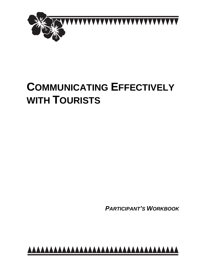

# **COMMUNICATING EFFECTIVELY WITH TOURISTS**

*PARTICIPANT'S WORKBOOK*

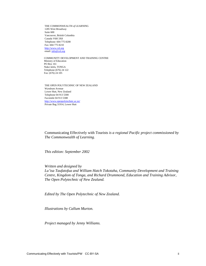THE COMMONWEALTH *of* LEARNING 1285 West Broadway Suite 600 Vancouver, British Columbia Canada V6H 3X8 Telephone: 604 775 8200 Fax: 604 775 8210 http://www.col.org email: info@col.org

COMMUNITY DEVELOPMENT AND TRAINING CENTRE Ministry of Education PO Box 161 Nuku'alofa, TONGA Telephone (676) 24 122 Fax: (676) 24 105

THE OPEN POLYTECHNIC OF NEW ZEALAND Wyndrum Avenue Lower Hutt, New Zealand Telephone 04 913 5300 Facsimile 04 913 5308 http://www.openpolytechnic.ac.nz/ Private Bag 31914, Lower Hutt

Communicating Effectively with Tourists *is a regional Pacific project commissioned by The Commonwealth of Learning.* 

*This edition: September 2002* 

*Written and designed by Lu'isa Taufatofua and William Hatch Tokotaha, Community Development and Training Centre, Kingdom of Tonga, and Richard Drummond, Education and Training Advisor, The Open Polytechnic of New Zealand.* 

*Edited by The Open Polytechnic of New Zealand.* 

*Illustrations by Callum Murton.* 

*Project managed by Jenny Williams.*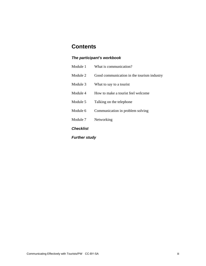## **Contents**

### *The participant's workbook*

| Module 1 | What is communication?                     |
|----------|--------------------------------------------|
| Module 2 | Good communication in the tourism industry |
| Module 3 | What to say to a tourist                   |
| Module 4 | How to make a tourist feel welcome         |
| Module 5 | Talking on the telephone                   |
| Module 6 | Communication in problem solving           |
| Module 7 | Networking                                 |
|          |                                            |

### *Checklist*

*Further study*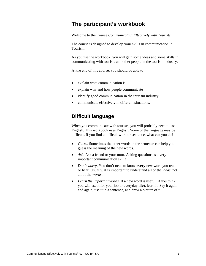## **The participant's workbook**

Welcome to the Course *Communicating Effectively with Tourists*

The course is designed to develop your skills in communication in Tourism.

As you use the workbook, you will gain some ideas and some skills in communicating with tourists and other people in the tourism industry.

At the end of this course, you should be able to

- explain what communication is
- explain why and how people communicate
- identify good communication in the tourism industry
- communicate effectively in different situations.

## **Difficult language**

When you communicate with tourists, you will probably need to use English. This workbook uses English. Some of the language may be difficult. If you find a difficult word or sentence, what can you do?

- *Guess*. Sometimes the other words in the sentence can help you guess the meaning of the new words.
- *Ask*. Ask a friend or your tutor. Asking questions is a very important communication skill!
- *Don't worry*. You don't need to know **every** new word you read or hear. Usually, it is important to understand all of the *ideas,* not all of the *words*.
- *Learn the important words*. If a new word is useful (if you think you will use it for your job or everyday life), learn it. Say it again and again, use it in a sentence, and draw a picture of it.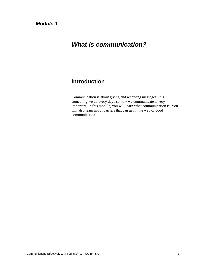## *Module 1*

## *What is communication?*

## **Introduction**

Communication is about giving and receiving messages. It is something we do every day , so how we communicate is very important. In this module, you will learn what communication is. You will also learn about barriers that can get in the way of good communication.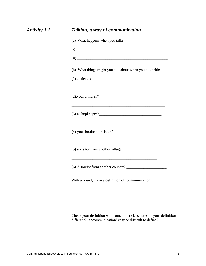| (a) What happens when you talk?                                                                                      |
|----------------------------------------------------------------------------------------------------------------------|
|                                                                                                                      |
|                                                                                                                      |
|                                                                                                                      |
| (b) What things might you talk about when you talk with:                                                             |
|                                                                                                                      |
|                                                                                                                      |
| $(3)$ a shopkeeper?<br>$\frac{1}{2}$                                                                                 |
|                                                                                                                      |
| <u> 1980 - Johann Barn, mars an t-Amerikaansk politiker (* 1908)</u><br>(5) a visitor from another village?          |
| <u> 1989 - Johann Stein, marwolaethau a bhann an t-Amhair an t-Amhair an t-Amhair an t-Amhair an t-Amhair an t-A</u> |
| With a friend, make a definition of 'communication':                                                                 |
|                                                                                                                      |
|                                                                                                                      |
|                                                                                                                      |

Check your definition with some other classmates. Is your definition different? Is 'communication' easy or difficult to define?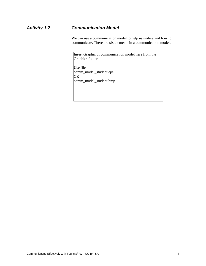## *Activity 1.2 Communication Model*

We can use a communication model to help us understand how to communicate. There are six elements in a communication model.

Insert Graphic of communication model here from the Graphics folder.

Use file comm\_model\_student.eps OR comm\_model\_student.bmp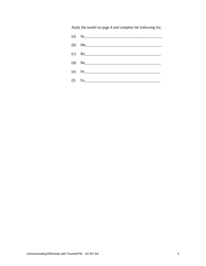Study the model on page 4 and complete the following list:

| (a) $Se$ |
|----------|
|          |
| $(c)$ Re |
| $(d)$ Ba |
| $(e)$ Fe |
| $(f)$ Fo |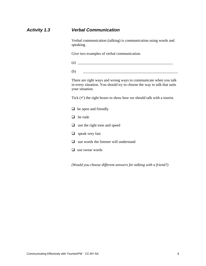## *Activity 1.3 Verbal Communication*

Verbal communication (talking) is communication using words and speaking.

Give two examples of verbal communication.

- $\qquad \qquad \textbf{(a)} \qquad \qquad$
- $(b)$   $\qquad$

There are right ways and wrong ways to communicate when you talk in every situation. You should try to choose the way to talk that suits your situation.

Tick  $(\checkmark)$  the right boxes to show how we should talk with a tourist.

- $\Box$  be open and friendly
- $\Box$  be rude
- $\Box$  use the right tone and speed
- $\Box$  speak very fast
- $\Box$  use words the listener will understand
- $\Box$  use swear words

*(Would you choose different answers for talking with a friend?)*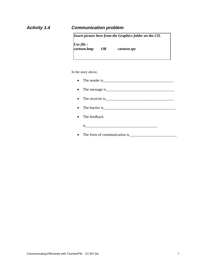## *Activity 1.4 Communication problem*

*Insert picture here from the Graphics folder on the CD. Use file : cartoon.bmp OR cartoon.eps*

In the story above,

- $\bullet$  The sender is  $\bullet$
- The message is\_\_\_\_\_\_\_\_\_\_\_\_\_\_\_\_\_\_\_\_\_\_\_\_\_\_\_\_\_\_\_\_\_\_\_\_
- $\bullet$  The receiver is  $\qquad \qquad$
- $\bullet$  The barrier is
- The feedback
	- is\_\_\_\_\_\_\_\_\_\_\_\_\_\_\_\_\_\_\_\_\_\_\_\_\_\_\_\_\_\_\_\_\_\_\_\_\_\_
- The form of communication is\_\_\_\_\_\_\_\_\_\_\_\_\_\_\_\_\_\_\_\_\_\_\_\_\_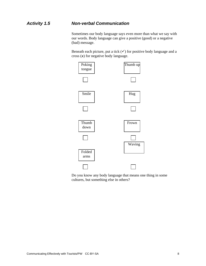### *Activity 1.5 Non-verbal Communication*

Sometimes our body language says even more than what we say with our words. Body language can give a positive (good) or a negative (bad) message.

Beneath each picture, put a tick  $(\checkmark)$  for positive body language and a cross (*x*) for negative body language.



Do you know any body language that means one thing in some cultures, but something else in others?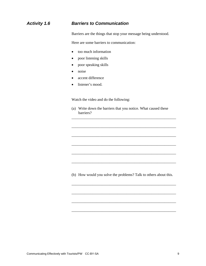### *Activity 1.6 Barriers to Communication*

Barriers are the things that stop your message being understood.

Here are some barriers to communication:

- too much information
- poor listening skills
- poor speaking skills
- noise
- accent difference
- listener's mood.

Watch the video and do the following:

(a) Write down the barriers that you notice. What caused these barriers?

\_\_\_\_\_\_\_\_\_\_\_\_\_\_\_\_\_\_\_\_\_\_\_\_\_\_\_\_\_\_\_\_\_\_\_\_\_\_\_\_\_\_\_\_\_\_\_\_\_\_\_\_\_\_\_

\_\_\_\_\_\_\_\_\_\_\_\_\_\_\_\_\_\_\_\_\_\_\_\_\_\_\_\_\_\_\_\_\_\_\_\_\_\_\_\_\_\_\_\_\_\_\_\_\_\_\_\_\_\_\_

\_\_\_\_\_\_\_\_\_\_\_\_\_\_\_\_\_\_\_\_\_\_\_\_\_\_\_\_\_\_\_\_\_\_\_\_\_\_\_\_\_\_\_\_\_\_\_\_\_\_\_\_\_\_\_

\_\_\_\_\_\_\_\_\_\_\_\_\_\_\_\_\_\_\_\_\_\_\_\_\_\_\_\_\_\_\_\_\_\_\_\_\_\_\_\_\_\_\_\_\_\_\_\_\_\_\_\_\_\_\_

\_\_\_\_\_\_\_\_\_\_\_\_\_\_\_\_\_\_\_\_\_\_\_\_\_\_\_\_\_\_\_\_\_\_\_\_\_\_\_\_\_\_\_\_\_\_\_\_\_\_\_\_\_\_\_

\_\_\_\_\_\_\_\_\_\_\_\_\_\_\_\_\_\_\_\_\_\_\_\_\_\_\_\_\_\_\_\_\_\_\_\_\_\_\_\_\_\_\_\_\_\_\_\_\_\_\_\_\_\_\_

(b) How would you solve the problems? Talk to others about this.

\_\_\_\_\_\_\_\_\_\_\_\_\_\_\_\_\_\_\_\_\_\_\_\_\_\_\_\_\_\_\_\_\_\_\_\_\_\_\_\_\_\_\_\_\_\_\_\_\_\_\_\_\_\_\_

\_\_\_\_\_\_\_\_\_\_\_\_\_\_\_\_\_\_\_\_\_\_\_\_\_\_\_\_\_\_\_\_\_\_\_\_\_\_\_\_\_\_\_\_\_\_\_\_\_\_\_\_\_\_\_

\_\_\_\_\_\_\_\_\_\_\_\_\_\_\_\_\_\_\_\_\_\_\_\_\_\_\_\_\_\_\_\_\_\_\_\_\_\_\_\_\_\_\_\_\_\_\_\_\_\_\_\_\_\_\_

\_\_\_\_\_\_\_\_\_\_\_\_\_\_\_\_\_\_\_\_\_\_\_\_\_\_\_\_\_\_\_\_\_\_\_\_\_\_\_\_\_\_\_\_\_\_\_\_\_\_\_\_\_\_\_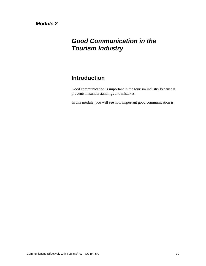## *Good Communication in the Tourism Industry*

## **Introduction**

Good communication is important in the tourism industry because it prevents misunderstandings and mistakes.

In this module, you will see how important good communication is.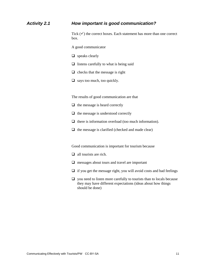### *Activity 2.1 How important is good communication?*

Tick  $(\checkmark)$  the correct boxes. Each statement has more than one correct box.

A good communicator

 $\Box$  speaks clearly

- $\Box$  listens carefully to what is being said
- $\Box$  checks that the message is right
- $\Box$  says too much, too quickly.

The results of good communication are that

- $\Box$  the message is heard correctly
- $\Box$  the message is understood correctly
- $\Box$  there is information overload (too much information).
- $\Box$  the message is clarified (checked and made clear)

Good communication is important for tourism because

- $\Box$  all tourists are rich.
- $\Box$  messages about tours and travel are important
- $\Box$  if you get the message right, you will avoid costs and bad feelings
- $\Box$  you need to listen more carefully to tourists than to locals because they may have different expectations (ideas about how things should be done)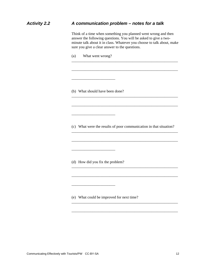## *Activity 2.2 A communication problem – notes for a talk*

Think of a time when something you planned went wrong and then answer the following questions. You will be asked to give a twominute talk about it in class. Whatever you choose to talk about, make sure you give a clear answer to the questions.

\_\_\_\_\_\_\_\_\_\_\_\_\_\_\_\_\_\_\_\_\_\_\_\_\_\_\_\_\_\_\_\_\_\_\_\_\_\_\_\_\_\_\_\_\_\_\_\_\_\_\_\_\_\_\_\_

\_\_\_\_\_\_\_\_\_\_\_\_\_\_\_\_\_\_\_\_\_\_\_\_\_\_\_\_\_\_\_\_\_\_\_\_\_\_\_\_\_\_\_\_\_\_\_\_\_\_\_\_\_\_\_\_

\_\_\_\_\_\_\_\_\_\_\_\_\_\_\_\_\_\_\_\_\_\_\_\_\_\_\_\_\_\_\_\_\_\_\_\_\_\_\_\_\_\_\_\_\_\_\_\_\_\_\_\_\_\_\_\_

\_\_\_\_\_\_\_\_\_\_\_\_\_\_\_\_\_\_\_\_\_\_\_\_\_\_\_\_\_\_\_\_\_\_\_\_\_\_\_\_\_\_\_\_\_\_\_\_\_\_\_\_\_\_\_\_

(a) What went wrong?

\_\_\_\_\_\_\_\_\_\_\_\_\_\_\_\_\_\_\_\_\_\_\_

\_\_\_\_\_\_\_\_\_\_\_\_\_\_\_\_\_\_\_\_\_\_\_

(b) What should have been done?

(c) What were the results of poor communication in that situation?

\_\_\_\_\_\_\_\_\_\_\_\_\_\_\_\_\_\_\_\_\_\_\_\_\_\_\_\_\_\_\_\_\_\_\_\_\_\_\_\_\_\_\_\_\_\_\_\_\_\_\_\_\_\_\_\_

\_\_\_\_\_\_\_\_\_\_\_\_\_\_\_\_\_\_\_\_\_\_\_\_\_\_\_\_\_\_\_\_\_\_\_\_\_\_\_\_\_\_\_\_\_\_\_\_\_\_\_\_\_\_\_\_

\_\_\_\_\_\_\_\_\_\_\_\_\_\_\_\_\_\_\_\_\_\_\_\_\_\_\_\_\_\_\_\_\_\_\_\_\_\_\_\_\_\_\_\_\_\_\_\_\_\_\_\_\_\_\_\_

\_\_\_\_\_\_\_\_\_\_\_\_\_\_\_\_\_\_\_\_\_\_\_\_\_\_\_\_\_\_\_\_\_\_\_\_\_\_\_\_\_\_\_\_\_\_\_\_\_\_\_\_\_\_\_\_

\_\_\_\_\_\_\_\_\_\_\_\_\_\_\_\_\_\_\_\_\_\_\_\_\_\_\_\_\_\_\_\_\_\_\_\_\_\_\_\_\_\_\_\_\_\_\_\_\_\_\_\_\_\_\_\_

\_\_\_\_\_\_\_\_\_\_\_\_\_\_\_\_\_\_\_\_\_\_\_\_\_\_\_\_\_\_\_\_\_\_\_\_\_\_\_\_\_\_\_\_\_\_\_\_\_\_\_\_\_\_\_\_

(d) How did you fix the problem?

\_\_\_\_\_\_\_\_\_\_\_\_\_\_\_\_\_\_\_\_\_\_\_

\_\_\_\_\_\_\_\_\_\_\_\_\_\_\_\_\_\_\_\_\_\_\_

(e) What could be improved for next time?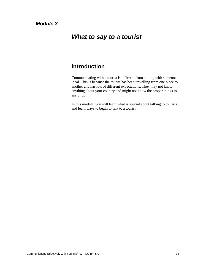## *What to say to a tourist*

## **Introduction**

Communicating with a tourist is different from talking with someone local. This is because the tourist has been travelling from one place to another and has lots of different expectations. They may not know anything about your country and might not know the proper things to say or do.

In this module, you will learn what is special about talking to tourists and learn ways to begin to talk to a tourist.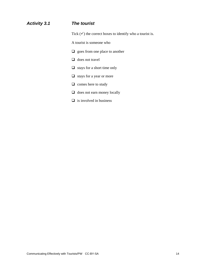## *Activity 3.1 The tourist*

Tick  $(\checkmark)$  the correct boxes to identify who a tourist is.

A tourist is someone who

- $\Box$  goes from one place to another
- $\Box$  does not travel
- $\Box$  stays for a short time only
- $\Box$  stays for a year or more
- $\Box$  comes here to study
- $\Box$  does not earn money locally
- $\Box$  is involved in business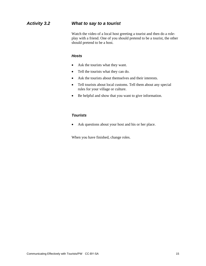### *Activity 3.2 What to say to a tourist*

Watch the video of a local host greeting a tourist and then do a roleplay with a friend. One of you should pretend to be a tourist, the other should pretend to be a host.

#### *Hosts*

- Ask the tourists what they want.
- Tell the tourists what they can do.
- Ask the tourists about themselves and their interests.
- Tell tourists about local customs. Tell them about any special rules for your village or culture.
- Be helpful and show that you want to give information.

### *Tourists*

Ask questions about your host and his or her place.

When you have finished, change roles.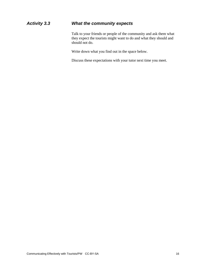### *Activity 3.3 What the community expects*

Talk to your friends or people of the community and ask them what they expect the tourists might want to do and what they should and should not do.

Write down what you find out in the space below.

Discuss these expectations with your tutor next time you meet.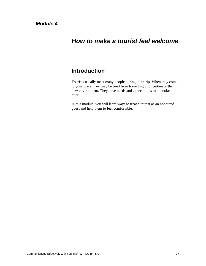## *How to make a tourist feel welcome*

## **Introduction**

Tourists usually meet many people during their trip. When they come to your place, they may be tired from travelling or uncertain of the new environment. They have needs and expectations to be looked after.

In this module, you will learn ways to treat a tourist as an honoured guest and help them to feel comfortable.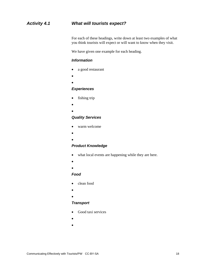### *Activity 4.1 What will tourists expect?*

For each of these headings, write down at least two examples of what you think tourists will expect or will want to know when they visit.

We have given one example for each heading.

#### *Information*

- a good restaurant
- $\bullet$
- $\bullet$

#### *Experiences*

- fishing trip
- $\bullet$
- $\bullet$

#### *Quality Services*

- warm welcome
- $\bullet$
- $\bullet$

#### *Product Knowledge*

- what local events are happening while they are here.
- $\bullet$
- $\bullet$

#### *Food*

- clean food
- $\bullet$
- $\bullet$

#### *Transport*

- Good taxi services
- $\bullet$
- $\bullet$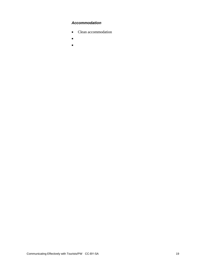### *Accommodation*

- Clean accommodation
- $\bullet$
- $\bullet$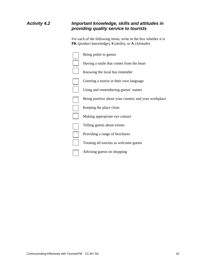### *Activity 4.2 Important knowledge, skills and attitudes in providing quality service to tourists*

For each of the following items, write in the box whether it is **PK** (product knowledge), **S** (skills), or **A** (Attitude).

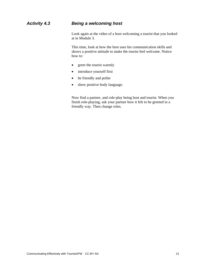## *Activity 4.3 Being a welcoming host*

Look again at the video of a host welcoming a tourist that you looked at in Module 3.

This time, look at how the host uses his communication skills and shows a positive attitude to make the tourist feel welcome. Notice how to:

- greet the tourist warmly
- introduce yourself first
- be friendly and polite
- show positive body language.

Now find a partner, and role-play being host and tourist. When you finish role-playing, ask your partner how it felt to be greeted in a friendly way. Then change roles.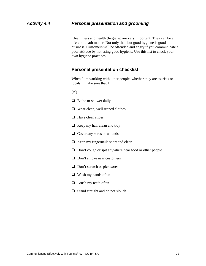### *Activity 4.4 Personal presentation and grooming*

Cleanliness and health (hygiene) are very important. They can be a life-and-death matter. Not only that, but good hygiene is good business. Customers will be offended and angry if you communicate a poor attitude by not using good hygiene. Use this list to check your own hygiene practices.

### **Personal presentation checklist**

When I am working with other people, whether they are tourists or locals, I make sure that I

 $(\checkmark)$ 

- $\Box$  Bathe or shower daily
- $\Box$  Wear clean, well-ironed clothes
- $\Box$  Have clean shoes
- $\Box$  Keep my hair clean and tidy
- $\Box$  Cover any sores or wounds
- $\Box$  Keep my fingernails short and clean
- $\Box$  Don't cough or spit anywhere near food or other people
- $\Box$  Don't smoke near customers
- $\Box$  Don't scratch or pick sores
- $\Box$  Wash my hands often
- $\Box$  Brush my teeth often
- $\Box$  Stand straight and do not slouch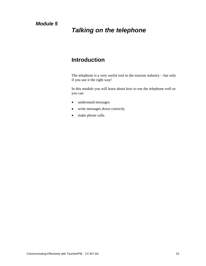## *Module 5*

## *Talking on the telephone*

## **Introduction**

The telephone is a very useful tool in the tourism industry – but only if you use it the right way!

In this module you will learn about how to use the telephone well so you can

- understand messages
- write messages down correctly
- make phone calls.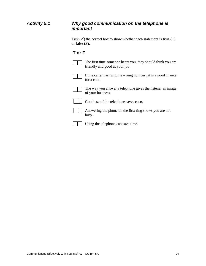## *Activity 5.1 Why good communication on the telephone is important*

Tick  $(\checkmark)$  the correct box to show whether each statement is **true (T)** or **false (F).**

### **T or F**

| The first time someone hears you, they should think you are<br>friendly and good at your job. |
|-----------------------------------------------------------------------------------------------|
| If the caller has rung the wrong number, it is a good chance<br>for a chat.                   |
| The way you answer a telephone gives the listener an image<br>of your business.               |
| Good use of the telephone saves costs.                                                        |
| Answering the phone on the first ring shows you are not<br>busy.                              |
| Using the telephone can save time.                                                            |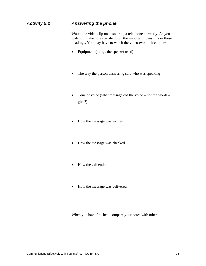### *Activity 5.2 Answering the phone*

Watch the video clip on answering a telephone correctly. As you watch it, make notes (write down the important ideas) under these headings. You may have to watch the video two or three times.

- Equipment (things the speaker used)
- The way the person answering said who was speaking
- Tone of voice (what message did the voice not the words give?)
- How the message was written
- How the message was checked
- How the call ended
- How the message was delivered.

When you have finished, compare your notes with others.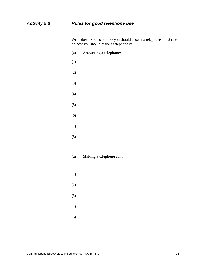## *Activity 5.3 Rules for good telephone use*

Write down 8 rules on how you should answer a telephone and 5 rules on how you should make a telephone call.

| (a) | Answering a telephone:   |
|-----|--------------------------|
| (1) |                          |
| (2) |                          |
| (3) |                          |
| (4) |                          |
| (5) |                          |
| (6) |                          |
| (7) |                          |
| (8) |                          |
|     |                          |
| (a) | Making a telephone call: |
| (1) |                          |
| (2) |                          |
| (3) |                          |
| (4) |                          |
| (5) |                          |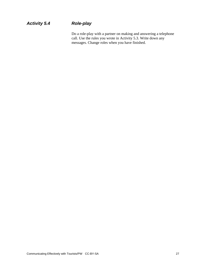Do a role-play with a partner on making and answering a telephone call. Use the rules you wrote in Activity 5.3. Write down any messages. Change roles when you have finished.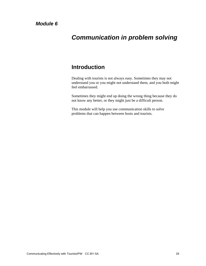## *Communication in problem solving*

## **Introduction**

Dealing with tourists is not always easy. Sometimes they may not understand you or you might not understand them, and you both might feel embarrassed.

Sometimes they might end up doing the wrong thing because they do not know any better, or they might just be a difficult person.

This module will help you use communication skills to solve problems that can happen between hosts and tourists.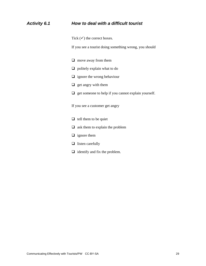## *Activity 6.1 How to deal with a difficult tourist*

Tick  $(\checkmark)$  the correct boxes.

If you see a tourist doing something wrong, you should

- $\Box$  move away from them
- $\Box$  politely explain what to do
- $\Box$  ignore the wrong behaviour
- $\Box$  get angry with them
- $\Box$  get someone to help if you cannot explain yourself.

If you see a customer get angry

- $\Box$  tell them to be quiet
- $\Box$  ask them to explain the problem
- $\Box$  ignore them
- $\Box$  listen carefully
- $\Box$  identify and fix the problem.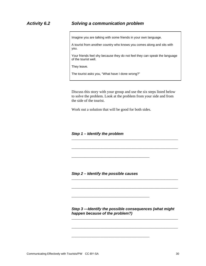### *Activity 6.2 Solving a communication problem*

Imagine you are talking with some friends in your own language.

A tourist from another country who knows you comes along and sits with you.

Your friends feel shy because they do not feel they can speak the language of the tourist well.

They leave.

The tourist asks you, "What have I done wrong?"

Discuss this story with your group and use the six steps listed below to solve the problem. Look at the problem from your side and from the side of the tourist.

\_\_\_\_\_\_\_\_\_\_\_\_\_\_\_\_\_\_\_\_\_\_\_\_\_\_\_\_\_\_\_\_\_\_\_\_\_\_\_\_\_\_\_\_\_\_\_\_\_\_\_\_\_\_\_\_

\_\_\_\_\_\_\_\_\_\_\_\_\_\_\_\_\_\_\_\_\_\_\_\_\_\_\_\_\_\_\_\_\_\_\_\_\_\_\_\_\_\_\_\_\_\_\_\_\_\_\_\_\_\_\_\_

\_\_\_\_\_\_\_\_\_\_\_\_\_\_\_\_\_\_\_\_\_\_\_\_\_\_\_\_\_\_\_\_\_\_\_\_\_\_\_\_\_\_\_\_\_\_\_\_\_\_\_\_\_\_\_\_

\_\_\_\_\_\_\_\_\_\_\_\_\_\_\_\_\_\_\_\_\_\_\_\_\_\_\_\_\_\_\_\_\_\_\_\_\_\_\_\_\_\_\_\_\_\_\_\_\_\_\_\_\_\_\_\_

Work out a solution that will be good for both sides.

\_\_\_\_\_\_\_\_\_\_\_\_\_\_\_\_\_\_\_\_\_\_\_\_\_\_\_\_\_\_\_\_\_\_\_\_\_\_\_\_\_

\_\_\_\_\_\_\_\_\_\_\_\_\_\_\_\_\_\_\_\_\_\_\_\_\_\_\_\_\_\_\_\_\_\_\_\_\_\_\_\_\_

\_\_\_\_\_\_\_\_\_\_\_\_\_\_\_\_\_\_\_\_\_\_\_\_\_\_\_\_\_\_\_\_\_\_\_\_\_\_\_\_\_

#### *Step 1 – Identify the problem*

*Step 2 – Identify the possible causes* 

*Step 3 —Identify the possible consequences (what might happen because of the problem?)* 

\_\_\_\_\_\_\_\_\_\_\_\_\_\_\_\_\_\_\_\_\_\_\_\_\_\_\_\_\_\_\_\_\_\_\_\_\_\_\_\_\_\_\_\_\_\_\_\_\_\_\_\_\_\_\_\_

\_\_\_\_\_\_\_\_\_\_\_\_\_\_\_\_\_\_\_\_\_\_\_\_\_\_\_\_\_\_\_\_\_\_\_\_\_\_\_\_\_\_\_\_\_\_\_\_\_\_\_\_\_\_\_\_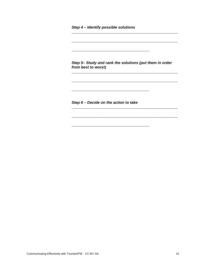Step 4 - Identify possible solutions

Step 5- Study and rank the solutions (put them in order from best to worst)

Step 6 - Decide on the action to take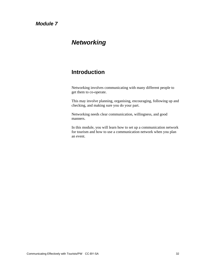## *Module 7*

## *Networking*

## **Introduction**

Networking involves communicating with many different people to get them to co-operate.

This may involve planning, organising, encouraging, following up and checking, and making sure you do your part.

Networking needs clear communication, willingness, and good manners.

In this module, you will learn how to set up a communication network for tourism and how to use a communication network when you plan an event.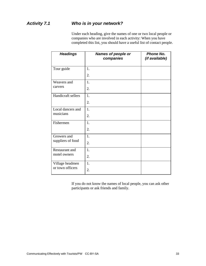### *Activity 7.1 Who is in your network?*

Under each heading, give the names of one or two local people or companies who are involved in each activity: When you have completed this list, you should have a useful list of contact people.

| <b>Headings</b>    | <b>Names of people or</b><br>companies | <b>Phone No.</b><br>(if available) |
|--------------------|----------------------------------------|------------------------------------|
| Tour guide         | 1.                                     |                                    |
|                    | 2.                                     |                                    |
| Weavers and        | 1.                                     |                                    |
| carvers            | 2.                                     |                                    |
| Handicraft sellers | 1.                                     |                                    |
|                    | 2.                                     |                                    |
| Local dancers and  | 1.                                     |                                    |
| musicians          | 2.                                     |                                    |
| Fishermen          | 1.                                     |                                    |
|                    | 2.                                     |                                    |
| Growers and        | 1.                                     |                                    |
| suppliers of food  | 2.                                     |                                    |
| Restaurant and     | 1.                                     |                                    |
| motel owners       | 2.                                     |                                    |
| Village headmen    | 1.                                     |                                    |
| or town officers   | 2.                                     |                                    |

If you do not know the names of local people, you can ask other participants or ask friends and family.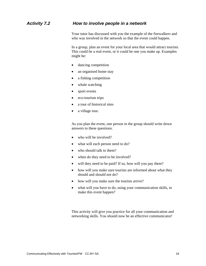## *Activity 7.2 How to involve people in a network*

Your tutor has discussed with you the example of the firewalkers and who was involved in the network so that the event could happen.

In a group, plan an event for your local area that would attract tourists. This could be a real event, or it could be one you make up. Examples might be:

- dancing competition
- an organised home stay
- a fishing competition
- whale watching
- sport events
- eco-tourism trips
- a tour of historical sites
- a village tour.

As you plan the event, one person in the group should write down answers to these questions.

- who will be involved?
- what will each person need to do?
- who should talk to them?
- when do they need to be involved?
- will they need to be paid? If so, how will you pay them?
- how will you make sure tourists are informed about what they should and should not do?
- how will you make sure the tourists arrive?
- what will you have to do, using your communication skills, to make this event happen?

This activity will give you practice for all your communication and networking skills. You should now be an effective communicator!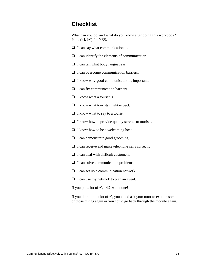## **Checklist**

What can you do, and what do you know after doing this workbook? Put a tick  $(\checkmark)$  for YES.

- $\Box$  I can say what communication is.
- $\Box$  I can identify the elements of communication.
- $\Box$  I can tell what body language is.
- **I** I can overcome communication barriers.
- $\Box$  I know why good communication is important.
- **I** I can fix communication barriers.
- $\Box$  I know what a tourist is.
- $\Box$  I know what tourists might expect.
- $\Box$  I know what to say to a tourist.
- $\Box$  I know how to provide quality service to tourists.
- $\Box$  I know how to be a welcoming host.
- $\Box$  I can demonstrate good grooming.
- $\Box$  I can receive and make telephone calls correctly.
- $\Box$  I can deal with difficult customers.
- $\Box$  I can solve communication problems.
- $\Box$  I can set up a communication network.
- $\Box$  I can use my network to plan an event.
- If you put a lot of  $\checkmark$ ,  $\overset{\textcircled{\mathbb{D}}}{}$  well done!

If you didn't put a lot of  $\checkmark$ , you could ask your tutor to explain some of those things again or you could go back through the module again.